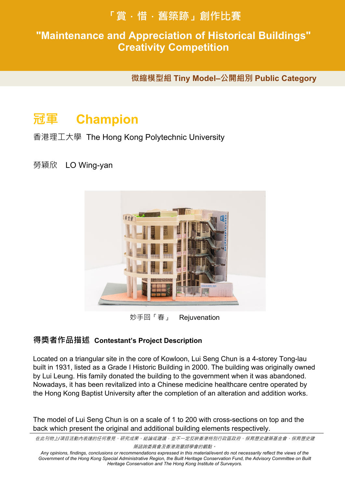# **「賞.惜.舊築跡」創作比賽**

#### **"Maintenance and Appreciation of Historical Buildings" 得獎作品賞析 Works Sppreciation Creativity Competition**

**微縮模型組 Tiny Model–公開組別 Public Category** 

# **冠軍 Champion**

香港理工大學 The Hong Kong Polytechnic University

## 勞穎欣 LO Wing-yan



妙手回「春」 Rejuvenation

## **得獎者作品描述 Contestant's Project Description**

Located on a triangular site in the core of Kowloon, Lui Seng Chun is a 4-storey Tong-lau built in 1931, listed as a Grade I Historic Building in 2000. The building was originally owned by Lui Leung. His family donated the building to the government when it was abandoned. Nowadays, it has been revitalized into a Chinese medicine healthcare centre operated by the Hong Kong Baptist University after the completion of an alteration and addition works.

The model of Lui Seng Chun is on a scale of 1 to 200 with cross-sections on top and the back which present the original and additional building elements respectively.

在此刊物上*/*項目活動內表達的任何意見、研究成果、結論或建議,並不一定反映香港特別行政區政府、保育歷史建築基金會、保育歷史建

築諮詢委員會及香港測量師學會的觀點。

*Any opinions, findings, conclusions or recommendations expressed in this material/event do not necessarily reflect the views of the*  Government of the Hong Kong Special Administrative Region, the Built Heritage Conservation Fund, the Advisory Committee on Built *Heritage Conservation and The Hong Kong Institute of Surveyors.*